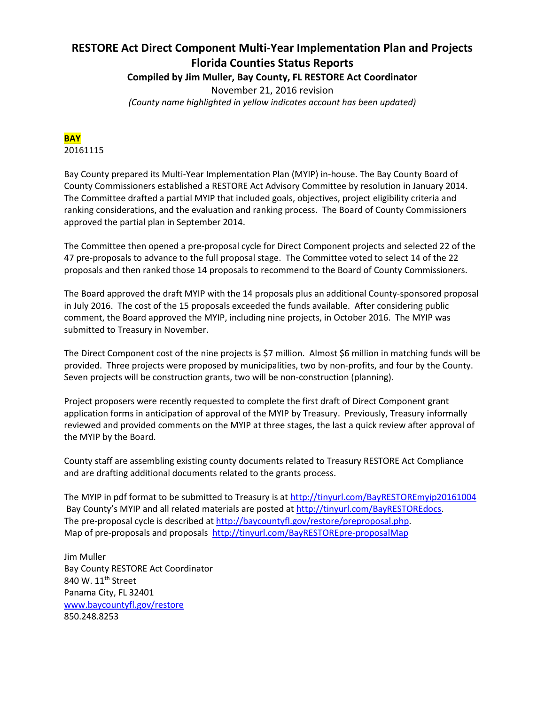# **RESTORE Act Direct Component Multi-Year Implementation Plan and Projects Florida Counties Status Reports**

**Compiled by Jim Muller, Bay County, FL RESTORE Act Coordinator**

November 21, 2016 revision *(County name highlighted in yellow indicates account has been updated)*

**BAY** 20161115

Bay County prepared its Multi-Year Implementation Plan (MYIP) in-house. The Bay County Board of County Commissioners established a RESTORE Act Advisory Committee by resolution in January 2014. The Committee drafted a partial MYIP that included goals, objectives, project eligibility criteria and ranking considerations, and the evaluation and ranking process. The Board of County Commissioners approved the partial plan in September 2014.

The Committee then opened a pre-proposal cycle for Direct Component projects and selected 22 of the 47 pre-proposals to advance to the full proposal stage. The Committee voted to select 14 of the 22 proposals and then ranked those 14 proposals to recommend to the Board of County Commissioners.

The Board approved the draft MYIP with the 14 proposals plus an additional County-sponsored proposal in July 2016. The cost of the 15 proposals exceeded the funds available. After considering public comment, the Board approved the MYIP, including nine projects, in October 2016. The MYIP was submitted to Treasury in November.

The Direct Component cost of the nine projects is \$7 million. Almost \$6 million in matching funds will be provided. Three projects were proposed by municipalities, two by non-profits, and four by the County. Seven projects will be construction grants, two will be non-construction (planning).

Project proposers were recently requested to complete the first draft of Direct Component grant application forms in anticipation of approval of the MYIP by Treasury. Previously, Treasury informally reviewed and provided comments on the MYIP at three stages, the last a quick review after approval of the MYIP by the Board.

County staff are assembling existing county documents related to Treasury RESTORE Act Compliance and are drafting additional documents related to the grants process.

The MYIP in pdf format to be submitted to Treasury is at<http://tinyurl.com/BayRESTOREmyip20161004> Bay County's MYIP and all related materials are posted at [http://tinyurl.com/BayRESTOREdocs.](http://tinyurl.com/BayRESTOREdocs) The pre-proposal cycle is described a[t http://baycountyfl.gov/restore/preproposal.php.](http://baycountyfl.gov/restore/preproposal.php) Map of pre-proposals and proposals <http://tinyurl.com/BayRESTOREpre-proposalMap>

Jim Muller Bay County RESTORE Act Coordinator 840 W. 11<sup>th</sup> Street Panama City, FL 32401 [www.baycountyfl.gov/restore](http://www.baycountyfl.gov/restore) 850.248.8253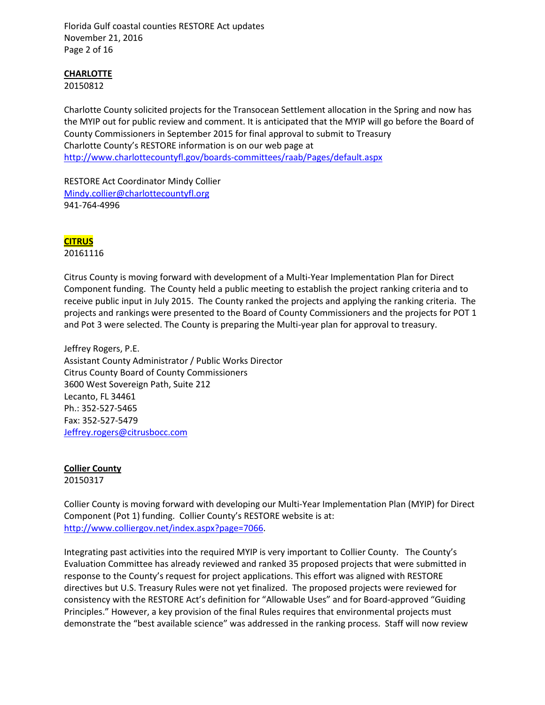Florida Gulf coastal counties RESTORE Act updates November 21, 2016 Page 2 of 16

## **CHARLOTTE**

20150812

Charlotte County solicited projects for the Transocean Settlement allocation in the Spring and now has the MYIP out for public review and comment. It is anticipated that the MYIP will go before the Board of County Commissioners in September 2015 for final approval to submit to Treasury Charlotte County's RESTORE information is on our web page at <http://www.charlottecountyfl.gov/boards-committees/raab/Pages/default.aspx>

RESTORE Act Coordinator Mindy Collier [Mindy.collier@charlottecountyfl.org](mailto:Mindy.collier@charlottecountyfl.org) 941-764-4996

## **CITRUS**

20161116

Citrus County is moving forward with development of a Multi-Year Implementation Plan for Direct Component funding. The County held a public meeting to establish the project ranking criteria and to receive public input in July 2015. The County ranked the projects and applying the ranking criteria. The projects and rankings were presented to the Board of County Commissioners and the projects for POT 1 and Pot 3 were selected. The County is preparing the Multi-year plan for approval to treasury.

Jeffrey Rogers, P.E. Assistant County Administrator / Public Works Director Citrus County Board of County Commissioners 3600 West Sovereign Path, Suite 212 Lecanto, FL 34461 Ph.: 352-527-5465 Fax: 352-527-5479 [Jeffrey.rogers@citrusbocc.com](mailto:Jeffrey.rogers@citrusbocc.com)

## **Collier County** 20150317

Collier County is moving forward with developing our Multi-Year Implementation Plan (MYIP) for Direct Component (Pot 1) funding. Collier County's RESTORE website is at: [http://www.colliergov.net/index.aspx?page=7066.](http://www.colliergov.net/index.aspx?page=7066)

Integrating past activities into the required MYIP is very important to Collier County. The County's Evaluation Committee has already reviewed and ranked 35 proposed projects that were submitted in response to the County's request for project applications. This effort was aligned with RESTORE directives but U.S. Treasury Rules were not yet finalized. The proposed projects were reviewed for consistency with the RESTORE Act's definition for "Allowable Uses" and for Board-approved "Guiding Principles." However, a key provision of the final Rules requires that environmental projects must demonstrate the "best available science" was addressed in the ranking process. Staff will now review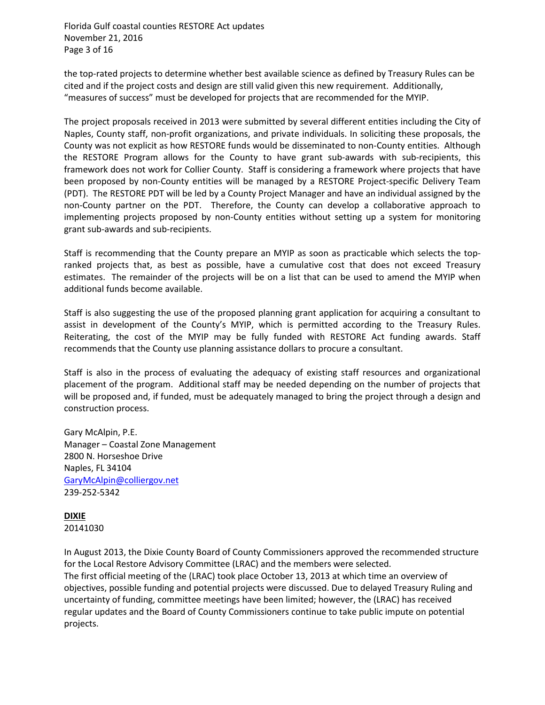Florida Gulf coastal counties RESTORE Act updates November 21, 2016 Page 3 of 16

the top-rated projects to determine whether best available science as defined by Treasury Rules can be cited and if the project costs and design are still valid given this new requirement. Additionally, "measures of success" must be developed for projects that are recommended for the MYIP.

The project proposals received in 2013 were submitted by several different entities including the City of Naples, County staff, non-profit organizations, and private individuals. In soliciting these proposals, the County was not explicit as how RESTORE funds would be disseminated to non-County entities. Although the RESTORE Program allows for the County to have grant sub-awards with sub-recipients, this framework does not work for Collier County. Staff is considering a framework where projects that have been proposed by non-County entities will be managed by a RESTORE Project-specific Delivery Team (PDT). The RESTORE PDT will be led by a County Project Manager and have an individual assigned by the non-County partner on the PDT. Therefore, the County can develop a collaborative approach to implementing projects proposed by non-County entities without setting up a system for monitoring grant sub-awards and sub-recipients.

Staff is recommending that the County prepare an MYIP as soon as practicable which selects the topranked projects that, as best as possible, have a cumulative cost that does not exceed Treasury estimates. The remainder of the projects will be on a list that can be used to amend the MYIP when additional funds become available.

Staff is also suggesting the use of the proposed planning grant application for acquiring a consultant to assist in development of the County's MYIP, which is permitted according to the Treasury Rules. Reiterating, the cost of the MYIP may be fully funded with RESTORE Act funding awards. Staff recommends that the County use planning assistance dollars to procure a consultant.

Staff is also in the process of evaluating the adequacy of existing staff resources and organizational placement of the program. Additional staff may be needed depending on the number of projects that will be proposed and, if funded, must be adequately managed to bring the project through a design and construction process.

Gary McAlpin, P.E. Manager – Coastal Zone Management 2800 N. Horseshoe Drive Naples, FL 34104 [GaryMcAlpin@colliergov.net](mailto:GaryMcAlpin@colliergov.net) 239-252-5342

#### **DIXIE** 20141030

In August 2013, the Dixie County Board of County Commissioners approved the recommended structure for the Local Restore Advisory Committee (LRAC) and the members were selected. The first official meeting of the (LRAC) took place October 13, 2013 at which time an overview of objectives, possible funding and potential projects were discussed. Due to delayed Treasury Ruling and uncertainty of funding, committee meetings have been limited; however, the (LRAC) has received regular updates and the Board of County Commissioners continue to take public impute on potential projects.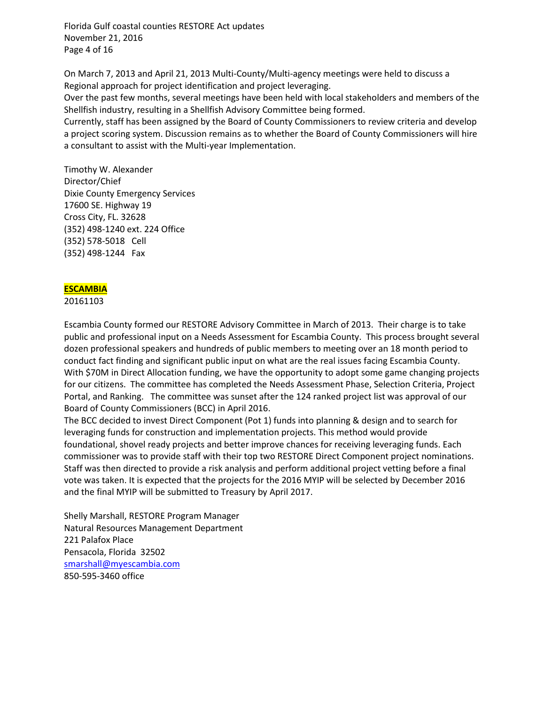Florida Gulf coastal counties RESTORE Act updates November 21, 2016 Page 4 of 16

On March 7, 2013 and April 21, 2013 Multi-County/Multi-agency meetings were held to discuss a Regional approach for project identification and project leveraging.

Over the past few months, several meetings have been held with local stakeholders and members of the Shellfish industry, resulting in a Shellfish Advisory Committee being formed.

Currently, staff has been assigned by the Board of County Commissioners to review criteria and develop a project scoring system. Discussion remains as to whether the Board of County Commissioners will hire a consultant to assist with the Multi-year Implementation.

Timothy W. Alexander Director/Chief Dixie County Emergency Services 17600 SE. Highway 19 Cross City, FL. 32628 (352) 498-1240 ext. 224 Office (352) 578-5018 Cell (352) 498-1244 Fax

## **ESCAMBIA**

#### 20161103

Escambia County formed our RESTORE Advisory Committee in March of 2013. Their charge is to take public and professional input on a Needs Assessment for Escambia County. This process brought several dozen professional speakers and hundreds of public members to meeting over an 18 month period to conduct fact finding and significant public input on what are the real issues facing Escambia County. With \$70M in Direct Allocation funding, we have the opportunity to adopt some game changing projects for our citizens. The committee has completed the Needs Assessment Phase, Selection Criteria, Project Portal, and Ranking. The committee was sunset after the 124 ranked project list was approval of our Board of County Commissioners (BCC) in April 2016.

The BCC decided to invest Direct Component (Pot 1) funds into planning & design and to search for leveraging funds for construction and implementation projects. This method would provide foundational, shovel ready projects and better improve chances for receiving leveraging funds. Each commissioner was to provide staff with their top two RESTORE Direct Component project nominations. Staff was then directed to provide a risk analysis and perform additional project vetting before a final vote was taken. It is expected that the projects for the 2016 MYIP will be selected by December 2016 and the final MYIP will be submitted to Treasury by April 2017.

Shelly Marshall, RESTORE Program Manager Natural Resources Management Department 221 Palafox Place Pensacola, Florida 32502 [smarshall@myescambia.com](mailto:smarshall@myescambia.com) 850-595-3460 office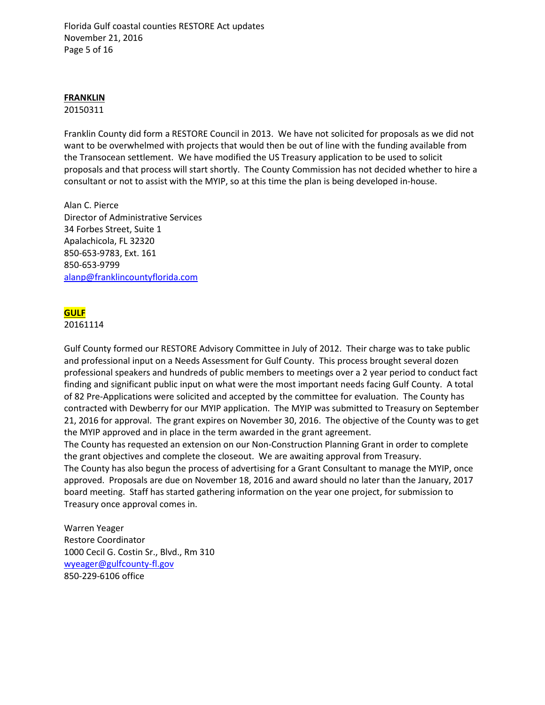Florida Gulf coastal counties RESTORE Act updates November 21, 2016 Page 5 of 16

#### **FRANKLIN**

#### 20150311

Franklin County did form a RESTORE Council in 2013. We have not solicited for proposals as we did not want to be overwhelmed with projects that would then be out of line with the funding available from the Transocean settlement. We have modified the US Treasury application to be used to solicit proposals and that process will start shortly. The County Commission has not decided whether to hire a consultant or not to assist with the MYIP, so at this time the plan is being developed in-house.

Alan C. Pierce Director of Administrative Services 34 Forbes Street, Suite 1 Apalachicola, FL 32320 850-653-9783, Ext. 161 850-653-9799 [alanp@franklincountyflorida.com](mailto:alanp@franklincountyflorida.com)

## **GULF**

#### 20161114

Gulf County formed our RESTORE Advisory Committee in July of 2012. Their charge was to take public and professional input on a Needs Assessment for Gulf County. This process brought several dozen professional speakers and hundreds of public members to meetings over a 2 year period to conduct fact finding and significant public input on what were the most important needs facing Gulf County. A total of 82 Pre-Applications were solicited and accepted by the committee for evaluation. The County has contracted with Dewberry for our MYIP application. The MYIP was submitted to Treasury on September 21, 2016 for approval. The grant expires on November 30, 2016. The objective of the County was to get the MYIP approved and in place in the term awarded in the grant agreement.

The County has requested an extension on our Non-Construction Planning Grant in order to complete the grant objectives and complete the closeout. We are awaiting approval from Treasury. The County has also begun the process of advertising for a Grant Consultant to manage the MYIP, once approved. Proposals are due on November 18, 2016 and award should no later than the January, 2017 board meeting. Staff has started gathering information on the year one project, for submission to Treasury once approval comes in.

Warren Yeager Restore Coordinator 1000 Cecil G. Costin Sr., Blvd., Rm 310 [wyeager@gulfcounty-fl.gov](mailto:wyeager@gulfcounty-fl.gov) 850-229-6106 office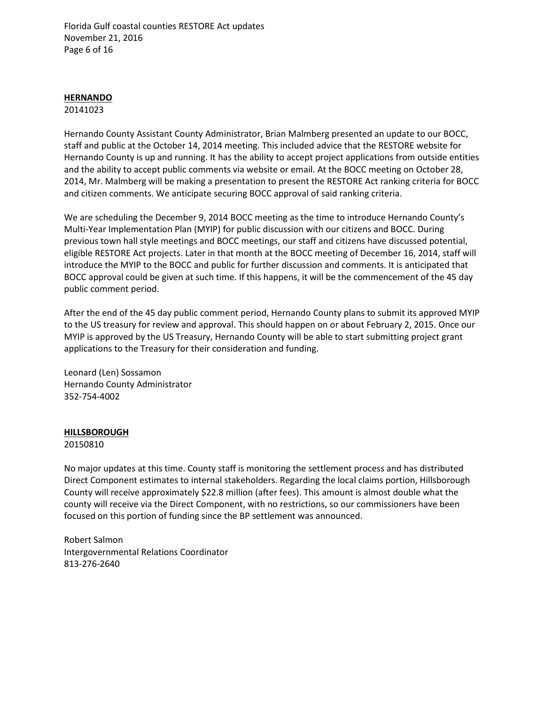Florida Gulf coastal counties RESTORE Act updates November 21, 2016 Page 6 of 16

#### **HERNANDO**

#### 20141023

Hernando County Assistant County Administrator, Brian Malmberg presented an update to our BOCC, staff and public at the October 14, 2014 meeting. This included advice that the RESTORE website for Hernando County is up and running. It has the ability to accept project applications from outside entities and the ability to accept public comments via website or email. At the BOCC meeting on October 28, 2014, Mr. Malmberg will be making a presentation to present the RESTORE Act ranking criteria for BOCC and citizen comments. We anticipate securing BOCC approval of said ranking criteria.

We are scheduling the December 9, 2014 BOCC meeting as the time to introduce Hernando County's Multi-Year Implementation Plan (MYIP) for public discussion with our citizens and BOCC. During previous town hall style meetings and BOCC meetings, our staff and citizens have discussed potential, eligible RESTORE Act projects. Later in that month at the BOCC meeting of December 16, 2014, staff will introduce the MYIP to the BOCC and public for further discussion and comments. It is anticipated that BOCC approval could be given at such time. If this happens, it will be the commencement of the 45 day public comment period.

After the end of the 45 day public comment period, Hernando County plans to submit its approved MYIP to the US treasury for review and approval. This should happen on or about February 2, 2015. Once our MYIP is approved by the US Treasury, Hernando County will be able to start submitting project grant applications to the Treasury for their consideration and funding.

Leonard (Len) Sossamon Hernando County Administrator 352-754-4002

## **HILLSBOROUGH**

#### 20150810

No major updates at this time. County staff is monitoring the settlement process and has distributed Direct Component estimates to internal stakeholders. Regarding the local claims portion, Hillsborough County will receive approximately \$22.8 million (after fees). This amount is almost double what the county will receive via the Direct Component, with no restrictions, so our commissioners have been focused on this portion of funding since the BP settlement was announced.

Robert Salmon Intergovernmental Relations Coordinator 813-276-2640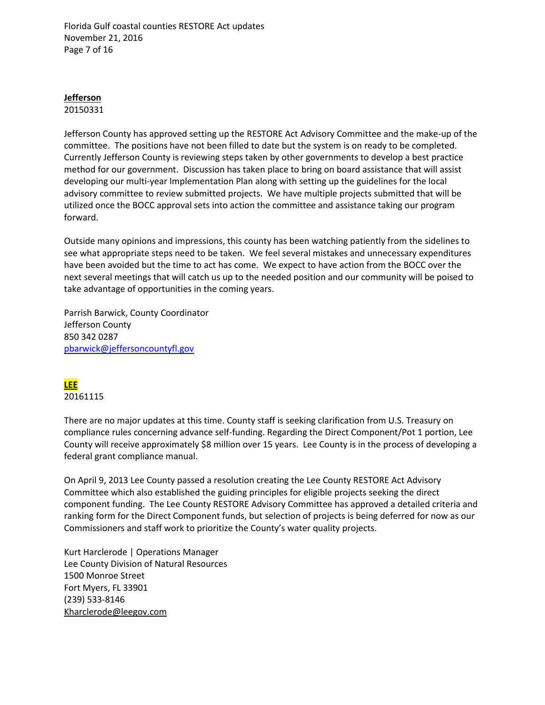Florida Gulf coastal counties RESTORE Act updates November 21, 2016 Page 7 of 16

## **Jefferson**

20150331

Jefferson County has approved setting up the RESTORE Act Advisory Committee and the make-up of the committee. The positions have not been filled to date but the system is on ready to be completed. Currently Jefferson County is reviewing steps taken by other governments to develop a best practice method for our government. Discussion has taken place to bring on board assistance that will assist developing our multi-year Implementation Plan along with setting up the guidelines for the local advisory committee to review submitted projects. We have multiple projects submitted that will be utilized once the BOCC approval sets into action the committee and assistance taking our program forward.

Outside many opinions and impressions, this county has been watching patiently from the sidelines to see what appropriate steps need to be taken. We feel several mistakes and unnecessary expenditures have been avoided but the time to act has come. We expect to have action from the BOCC over the next several meetings that will catch us up to the needed position and our community will be poised to take advantage of opportunities in the coming years.

Parrish Barwick, County Coordinator Jefferson County 850 342 0287 [pbarwick@jeffersoncountyfl.gov](mailto:pbarwick@jeffersoncountyfl.gov)

# **LEE**

20161115

There are no major updates at this time. County staff is seeking clarification from U.S. Treasury on compliance rules concerning advance self-funding. Regarding the Direct Component/Pot 1 portion, Lee County will receive approximately \$8 million over 15 years. Lee County is in the process of developing a federal grant compliance manual.

On April 9, 2013 Lee County passed a resolution creating the Lee County RESTORE Act Advisory Committee which also established the guiding principles for eligible projects seeking the direct component funding. The Lee County RESTORE Advisory Committee has approved a detailed criteria and ranking form for the Direct Component funds, but selection of projects is being deferred for now as our Commissioners and staff work to prioritize the County's water quality projects.

Kurt Harclerode | Operations Manager Lee County Division of Natural Resources 1500 Monroe Street Fort Myers, FL 33901 (239) 533-8146 [Kharclerode@leegov.com](mailto:Jmendes@leegov.com)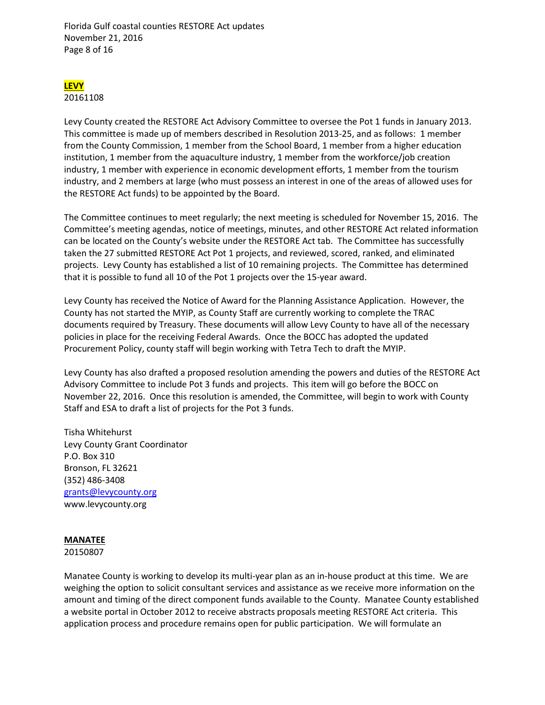Florida Gulf coastal counties RESTORE Act updates November 21, 2016 Page 8 of 16

# **LEVY**

20161108

Levy County created the RESTORE Act Advisory Committee to oversee the Pot 1 funds in January 2013. This committee is made up of members described in Resolution 2013-25, and as follows: 1 member from the County Commission, 1 member from the School Board, 1 member from a higher education institution, 1 member from the aquaculture industry, 1 member from the workforce/job creation industry, 1 member with experience in economic development efforts, 1 member from the tourism industry, and 2 members at large (who must possess an interest in one of the areas of allowed uses for the RESTORE Act funds) to be appointed by the Board.

The Committee continues to meet regularly; the next meeting is scheduled for November 15, 2016. The Committee's meeting agendas, notice of meetings, minutes, and other RESTORE Act related information can be located on the County's website under the RESTORE Act tab. The Committee has successfully taken the 27 submitted RESTORE Act Pot 1 projects, and reviewed, scored, ranked, and eliminated projects. Levy County has established a list of 10 remaining projects. The Committee has determined that it is possible to fund all 10 of the Pot 1 projects over the 15-year award.

Levy County has received the Notice of Award for the Planning Assistance Application. However, the County has not started the MYIP, as County Staff are currently working to complete the TRAC documents required by Treasury. These documents will allow Levy County to have all of the necessary policies in place for the receiving Federal Awards. Once the BOCC has adopted the updated Procurement Policy, county staff will begin working with Tetra Tech to draft the MYIP.

Levy County has also drafted a proposed resolution amending the powers and duties of the RESTORE Act Advisory Committee to include Pot 3 funds and projects. This item will go before the BOCC on November 22, 2016. Once this resolution is amended, the Committee, will begin to work with County Staff and ESA to draft a list of projects for the Pot 3 funds.

Tisha Whitehurst Levy County Grant Coordinator P.O. Box 310 Bronson, FL 32621 (352) 486-3408 [grants@levycounty.org](mailto:grants@levycounty.org) www.levycounty.org

## **MANATEE**

#### 20150807

Manatee County is working to develop its multi-year plan as an in-house product at this time. We are weighing the option to solicit consultant services and assistance as we receive more information on the amount and timing of the direct component funds available to the County. Manatee County established a website portal in October 2012 to receive abstracts proposals meeting RESTORE Act criteria. This application process and procedure remains open for public participation. We will formulate an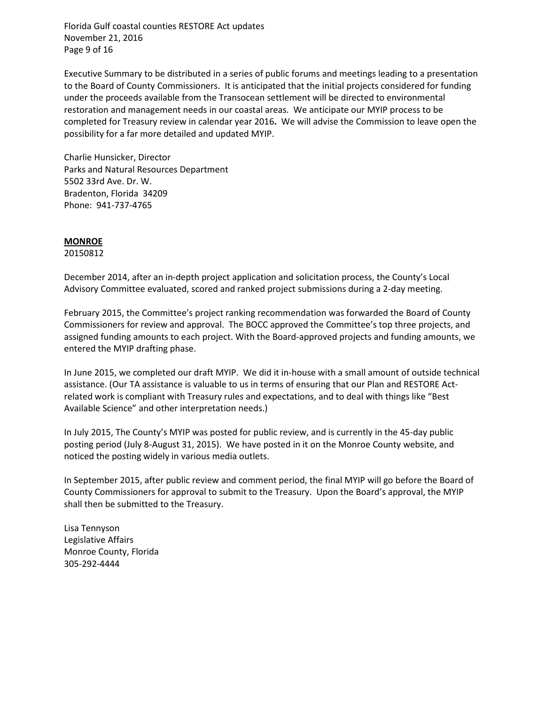Florida Gulf coastal counties RESTORE Act updates November 21, 2016 Page 9 of 16

Executive Summary to be distributed in a series of public forums and meetings leading to a presentation to the Board of County Commissioners. It is anticipated that the initial projects considered for funding under the proceeds available from the Transocean settlement will be directed to environmental restoration and management needs in our coastal areas. We anticipate our MYIP process to be completed for Treasury review in calendar year 2016**.** We will advise the Commission to leave open the possibility for a far more detailed and updated MYIP.

Charlie Hunsicker, Director Parks and Natural Resources Department 5502 33rd Ave. Dr. W. Bradenton, Florida 34209 Phone: 941-737-4765

#### **MONROE**

20150812

December 2014, after an in-depth project application and solicitation process, the County's Local Advisory Committee evaluated, scored and ranked project submissions during a 2-day meeting.

February 2015, the Committee's project ranking recommendation was forwarded the Board of County Commissioners for review and approval. The BOCC approved the Committee's top three projects, and assigned funding amounts to each project. With the Board-approved projects and funding amounts, we entered the MYIP drafting phase.

In June 2015, we completed our draft MYIP. We did it in-house with a small amount of outside technical assistance. (Our TA assistance is valuable to us in terms of ensuring that our Plan and RESTORE Actrelated work is compliant with Treasury rules and expectations, and to deal with things like "Best Available Science" and other interpretation needs.)

In July 2015, The County's MYIP was posted for public review, and is currently in the 45-day public posting period (July 8-August 31, 2015). We have posted in it on the Monroe County website, and noticed the posting widely in various media outlets.

In September 2015, after public review and comment period, the final MYIP will go before the Board of County Commissioners for approval to submit to the Treasury. Upon the Board's approval, the MYIP shall then be submitted to the Treasury.

Lisa Tennyson Legislative Affairs Monroe County, Florida 305-292-4444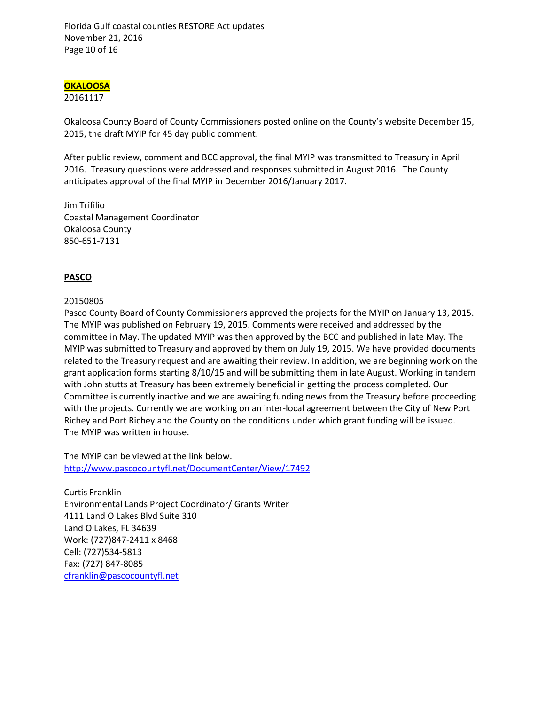Florida Gulf coastal counties RESTORE Act updates November 21, 2016 Page 10 of 16

## **OKALOOSA**

#### 20161117

Okaloosa County Board of County Commissioners posted online on the County's website December 15, 2015, the draft MYIP for 45 day public comment.

After public review, comment and BCC approval, the final MYIP was transmitted to Treasury in April 2016. Treasury questions were addressed and responses submitted in August 2016. The County anticipates approval of the final MYIP in December 2016/January 2017.

Jim Trifilio Coastal Management Coordinator Okaloosa County 850-651-7131

## **PASCO**

#### 20150805

Pasco County Board of County Commissioners approved the projects for the MYIP on January 13, 2015. The MYIP was published on February 19, 2015. Comments were received and addressed by the committee in May. The updated MYIP was then approved by the BCC and published in late May. The MYIP was submitted to Treasury and approved by them on July 19, 2015. We have provided documents related to the Treasury request and are awaiting their review. In addition, we are beginning work on the grant application forms starting 8/10/15 and will be submitting them in late August. Working in tandem with John stutts at Treasury has been extremely beneficial in getting the process completed. Our Committee is currently inactive and we are awaiting funding news from the Treasury before proceeding with the projects. Currently we are working on an inter-local agreement between the City of New Port Richey and Port Richey and the County on the conditions under which grant funding will be issued. The MYIP was written in house.

The MYIP can be viewed at the link below. <http://www.pascocountyfl.net/DocumentCenter/View/17492>

Curtis Franklin Environmental Lands Project Coordinator/ Grants Writer 4111 Land O Lakes Blvd Suite 310 Land O Lakes, FL 34639 Work: (727)847-2411 x 8468 Cell: (727)534-5813 Fax: (727) 847-8085 [cfranklin@pascocountyfl.net](mailto:cfranklin@pascocountyfl.net)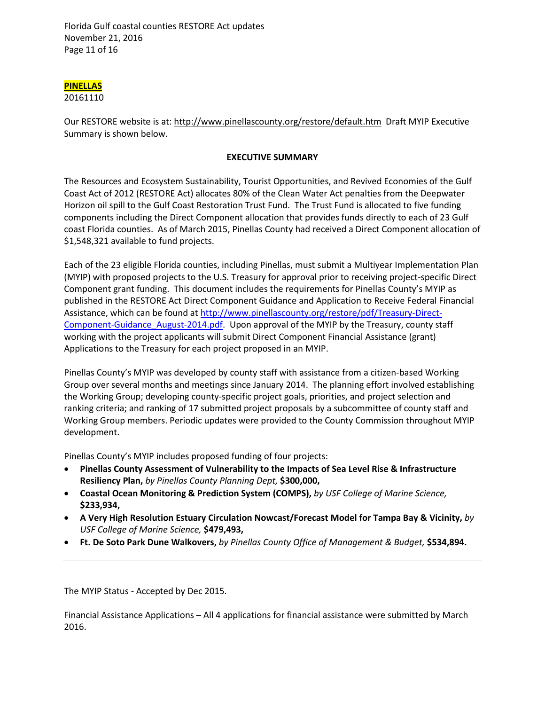Florida Gulf coastal counties RESTORE Act updates November 21, 2016 Page 11 of 16

# **PINELLAS**

20161110

Our RESTORE website is at[: http://www.pinellascounty.org/restore/default.htm](http://www.pinellascounty.org/restore/default.htm) Draft MYIP Executive Summary is shown below.

## **EXECUTIVE SUMMARY**

The Resources and Ecosystem Sustainability, Tourist Opportunities, and Revived Economies of the Gulf Coast Act of 2012 (RESTORE Act) allocates 80% of the Clean Water Act penalties from the Deepwater Horizon oil spill to the Gulf Coast Restoration Trust Fund. The Trust Fund is allocated to five funding components including the Direct Component allocation that provides funds directly to each of 23 Gulf coast Florida counties. As of March 2015, Pinellas County had received a Direct Component allocation of \$1,548,321 available to fund projects.

Each of the 23 eligible Florida counties, including Pinellas, must submit a Multiyear Implementation Plan (MYIP) with proposed projects to the U.S. Treasury for approval prior to receiving project-specific Direct Component grant funding. This document includes the requirements for Pinellas County's MYIP as published in the RESTORE Act Direct Component Guidance and Application to Receive Federal Financial Assistance, which can be found at [http://www.pinellascounty.org/restore/pdf/Treasury-Direct-](http://www.pinellascounty.org/restore/pdf/Treasury-Direct-Component-Guidance_August-2014.pdf)[Component-Guidance\\_August-2014.pdf.](http://www.pinellascounty.org/restore/pdf/Treasury-Direct-Component-Guidance_August-2014.pdf) Upon approval of the MYIP by the Treasury, county staff working with the project applicants will submit Direct Component Financial Assistance (grant) Applications to the Treasury for each project proposed in an MYIP.

Pinellas County's MYIP was developed by county staff with assistance from a citizen-based Working Group over several months and meetings since January 2014. The planning effort involved establishing the Working Group; developing county-specific project goals, priorities, and project selection and ranking criteria; and ranking of 17 submitted project proposals by a subcommittee of county staff and Working Group members. Periodic updates were provided to the County Commission throughout MYIP development.

Pinellas County's MYIP includes proposed funding of four projects:

- **Pinellas County Assessment of Vulnerability to the Impacts of Sea Level Rise & Infrastructure Resiliency Plan,** *by Pinellas County Planning Dept,* **\$300,000,**
- **Coastal Ocean Monitoring & Prediction System (COMPS),** *by USF College of Marine Science,*  **\$233,934,**
- **A Very High Resolution Estuary Circulation Nowcast/Forecast Model for Tampa Bay & Vicinity,** *by USF College of Marine Science,* **\$479,493,**
- **Ft. De Soto Park Dune Walkovers,** *by Pinellas County Office of Management & Budget,* **\$534,894.**

The MYIP Status - Accepted by Dec 2015.

Financial Assistance Applications – All 4 applications for financial assistance were submitted by March 2016.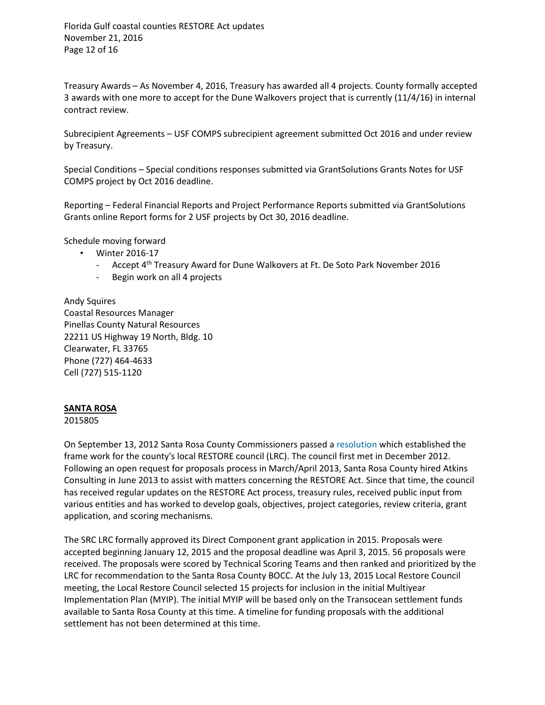Florida Gulf coastal counties RESTORE Act updates November 21, 2016 Page 12 of 16

Treasury Awards – As November 4, 2016, Treasury has awarded all 4 projects. County formally accepted 3 awards with one more to accept for the Dune Walkovers project that is currently (11/4/16) in internal contract review.

Subrecipient Agreements – USF COMPS subrecipient agreement submitted Oct 2016 and under review by Treasury.

Special Conditions – Special conditions responses submitted via GrantSolutions Grants Notes for USF COMPS project by Oct 2016 deadline.

Reporting – Federal Financial Reports and Project Performance Reports submitted via GrantSolutions Grants online Report forms for 2 USF projects by Oct 30, 2016 deadline.

Schedule moving forward

- Winter 2016-17
	- Accept 4th Treasury Award for Dune Walkovers at Ft. De Soto Park November 2016
	- Begin work on all 4 projects

Andy Squires Coastal Resources Manager Pinellas County Natural Resources 22211 US Highway 19 North, Bldg. 10 Clearwater, FL 33765 Phone (727) 464-4633 Cell (727) 515-1120

#### **SANTA ROSA**

2015805

On September 13, 2012 Santa Rosa County Commissioners passed a [resolution](http://www.santarosa.fl.gov/bocc/RestoreDocs/RestoreCouncil2012-32_Resolution.pdf) which established the frame work for the county's local RESTORE council (LRC). The council first met in December 2012. Following an open request for proposals process in March/April 2013, Santa Rosa County hired Atkins Consulting in June 2013 to assist with matters concerning the RESTORE Act. Since that time, the council has received regular updates on the RESTORE Act process, treasury rules, received public input from various entities and has worked to develop goals, objectives, project categories, review criteria, grant application, and scoring mechanisms.

The SRC LRC formally approved its Direct Component grant application in 2015. Proposals were accepted beginning January 12, 2015 and the proposal deadline was April 3, 2015. 56 proposals were received. The proposals were scored by Technical Scoring Teams and then ranked and prioritized by the LRC for recommendation to the Santa Rosa County BOCC. At the July 13, 2015 Local Restore Council meeting, the Local Restore Council selected 15 projects for inclusion in the initial Multiyear Implementation Plan (MYIP). The initial MYIP will be based only on the Transocean settlement funds available to Santa Rosa County at this time. A timeline for funding proposals with the additional settlement has not been determined at this time.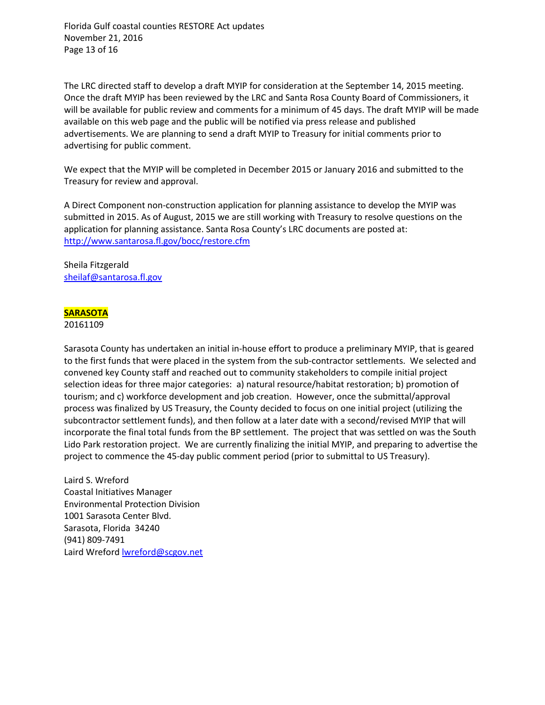Florida Gulf coastal counties RESTORE Act updates November 21, 2016 Page 13 of 16

The LRC directed staff to develop a draft MYIP for consideration at the September 14, 2015 meeting. Once the draft MYIP has been reviewed by the LRC and Santa Rosa County Board of Commissioners, it will be available for public review and comments for a minimum of 45 days. The draft MYIP will be made available on this web page and the public will be notified via press release and published advertisements. We are planning to send a draft MYIP to Treasury for initial comments prior to advertising for public comment.

We expect that the MYIP will be completed in December 2015 or January 2016 and submitted to the Treasury for review and approval.

A Direct Component non-construction application for planning assistance to develop the MYIP was submitted in 2015. As of August, 2015 we are still working with Treasury to resolve questions on the application for planning assistance. Santa Rosa County's LRC documents are posted at: <http://www.santarosa.fl.gov/bocc/restore.cfm>

Sheila Fitzgerald [sheilaf@santarosa.fl.gov](mailto:sheilaf@santarosa.fl.gov)

## **SARASOTA**

#### 20161109

Sarasota County has undertaken an initial in-house effort to produce a preliminary MYIP, that is geared to the first funds that were placed in the system from the sub-contractor settlements. We selected and convened key County staff and reached out to community stakeholders to compile initial project selection ideas for three major categories: a) natural resource/habitat restoration; b) promotion of tourism; and c) workforce development and job creation. However, once the submittal/approval process was finalized by US Treasury, the County decided to focus on one initial project (utilizing the subcontractor settlement funds), and then follow at a later date with a second/revised MYIP that will incorporate the final total funds from the BP settlement. The project that was settled on was the South Lido Park restoration project. We are currently finalizing the initial MYIP, and preparing to advertise the project to commence the 45-day public comment period (prior to submittal to US Treasury).

Laird S. Wreford Coastal Initiatives Manager Environmental Protection Division 1001 Sarasota Center Blvd. Sarasota, Florida 34240 (941) 809-7491 Laird Wreford [lwreford@scgov.net](mailto:lwreford@scgov.net)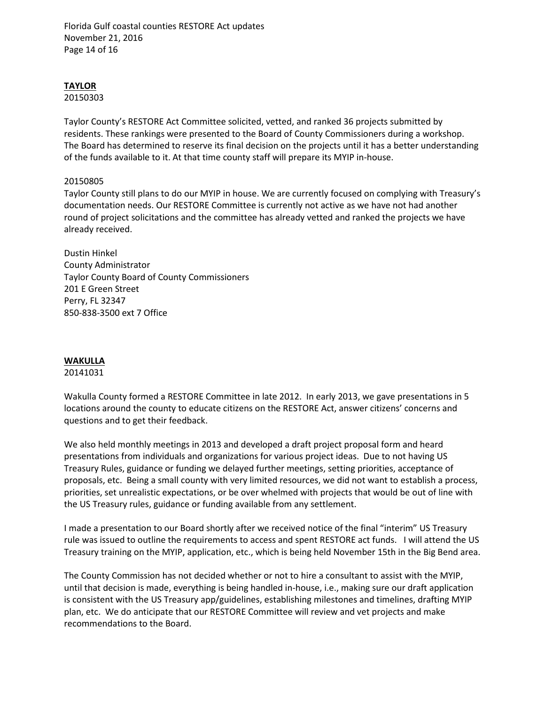Florida Gulf coastal counties RESTORE Act updates November 21, 2016 Page 14 of 16

# **TAYLOR**

20150303

Taylor County's RESTORE Act Committee solicited, vetted, and ranked 36 projects submitted by residents. These rankings were presented to the Board of County Commissioners during a workshop. The Board has determined to reserve its final decision on the projects until it has a better understanding of the funds available to it. At that time county staff will prepare its MYIP in-house.

## 20150805

Taylor County still plans to do our MYIP in house. We are currently focused on complying with Treasury's documentation needs. Our RESTORE Committee is currently not active as we have not had another round of project solicitations and the committee has already vetted and ranked the projects we have already received.

Dustin Hinkel County Administrator Taylor County Board of County Commissioners 201 E Green Street Perry, FL 32347 850-838-3500 ext 7 Office

## **WAKULLA**

## 20141031

Wakulla County formed a RESTORE Committee in late 2012. In early 2013, we gave presentations in 5 locations around the county to educate citizens on the RESTORE Act, answer citizens' concerns and questions and to get their feedback.

We also held monthly meetings in 2013 and developed a draft project proposal form and heard presentations from individuals and organizations for various project ideas. Due to not having US Treasury Rules, guidance or funding we delayed further meetings, setting priorities, acceptance of proposals, etc. Being a small county with very limited resources, we did not want to establish a process, priorities, set unrealistic expectations, or be over whelmed with projects that would be out of line with the US Treasury rules, guidance or funding available from any settlement.

I made a presentation to our Board shortly after we received notice of the final "interim" US Treasury rule was issued to outline the requirements to access and spent RESTORE act funds. I will attend the US Treasury training on the MYIP, application, etc., which is being held November 15th in the Big Bend area.

The County Commission has not decided whether or not to hire a consultant to assist with the MYIP, until that decision is made, everything is being handled in-house, i.e., making sure our draft application is consistent with the US Treasury app/guidelines, establishing milestones and timelines, drafting MYIP plan, etc. We do anticipate that our RESTORE Committee will review and vet projects and make recommendations to the Board.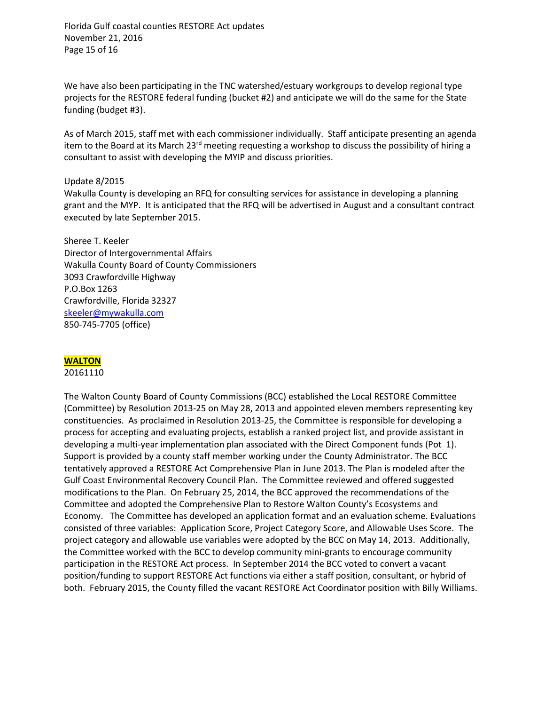Florida Gulf coastal counties RESTORE Act updates November 21, 2016 Page 15 of 16

We have also been participating in the TNC watershed/estuary workgroups to develop regional type projects for the RESTORE federal funding (bucket #2) and anticipate we will do the same for the State funding (budget #3).

As of March 2015, staff met with each commissioner individually. Staff anticipate presenting an agenda item to the Board at its March 23<sup>rd</sup> meeting requesting a workshop to discuss the possibility of hiring a consultant to assist with developing the MYIP and discuss priorities.

#### Update 8/2015

Wakulla County is developing an RFQ for consulting services for assistance in developing a planning grant and the MYP. It is anticipated that the RFQ will be advertised in August and a consultant contract executed by late September 2015.

Sheree T. Keeler Director of Intergovernmental Affairs Wakulla County Board of County Commissioners 3093 Crawfordville Highway P.O.Box 1263 Crawfordville, Florida 32327 [skeeler@mywakulla.com](mailto:skeeler@mywakulla.com) 850-745-7705 (office)

## **WALTON**

20161110

The Walton County Board of County Commissions (BCC) established the Local RESTORE Committee (Committee) by Resolution 2013-25 on May 28, 2013 and appointed eleven members representing key constituencies. As proclaimed in Resolution 2013-25, the Committee is responsible for developing a process for accepting and evaluating projects, establish a ranked project list, and provide assistant in developing a multi-year implementation plan associated with the Direct Component funds (Pot 1). Support is provided by a county staff member working under the County Administrator. The BCC tentatively approved a RESTORE Act Comprehensive Plan in June 2013. The Plan is modeled after the Gulf Coast Environmental Recovery Council Plan. The Committee reviewed and offered suggested modifications to the Plan. On February 25, 2014, the BCC approved the recommendations of the Committee and adopted the Comprehensive Plan to Restore Walton County's Ecosystems and Economy. The Committee has developed an application format and an evaluation scheme. Evaluations consisted of three variables: Application Score, Project Category Score, and Allowable Uses Score. The project category and allowable use variables were adopted by the BCC on May 14, 2013. Additionally, the Committee worked with the BCC to develop community mini-grants to encourage community participation in the RESTORE Act process. In September 2014 the BCC voted to convert a vacant position/funding to support RESTORE Act functions via either a staff position, consultant, or hybrid of both. February 2015, the County filled the vacant RESTORE Act Coordinator position with Billy Williams.